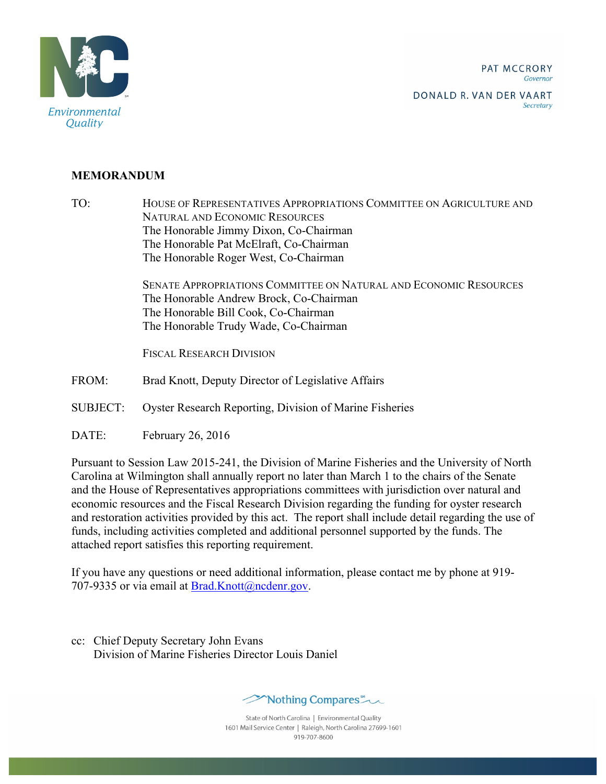PAT MCCRORY Governor



DONALD R. VAN DER VAART Secretary

## **MEMORANDUM**

TO: HOUSE OF REPRESENTATIVES APPROPRIATIONS COMMITTEE ON AGRICULTURE AND NATURAL AND ECONOMIC RESOURCES The Honorable Jimmy Dixon, Co-Chairman The Honorable Pat McElraft, Co-Chairman The Honorable Roger West, Co-Chairman

> SENATE APPROPRIATIONS COMMITTEE ON NATURAL AND ECONOMIC RESOURCES The Honorable Andrew Brock, Co-Chairman The Honorable Bill Cook, Co-Chairman The Honorable Trudy Wade, Co-Chairman

FISCAL RESEARCH DIVISION

- FROM: Brad Knott, Deputy Director of Legislative Affairs
- SUBJECT: Oyster Research Reporting, Division of Marine Fisheries
- DATE: February 26, 2016

Pursuant to Session Law 2015-241, the Division of Marine Fisheries and the University of North Carolina at Wilmington shall annually report no later than March 1 to the chairs of the Senate and the House of Representatives appropriations committees with jurisdiction over natural and economic resources and the Fiscal Research Division regarding the funding for oyster research and restoration activities provided by this act. The report shall include detail regarding the use of funds, including activities completed and additional personnel supported by the funds. The attached report satisfies this reporting requirement.

If you have any questions or need additional information, please contact me by phone at 919- 707-9335 or via email at Brad.Knott@ncdenr.gov.

cc: Chief Deputy Secretary John Evans Division of Marine Fisheries Director Louis Daniel



State of North Carolina | Environmental Quality 1601 Mail Service Center | Raleigh, North Carolina 27699-1601 919-707-8600